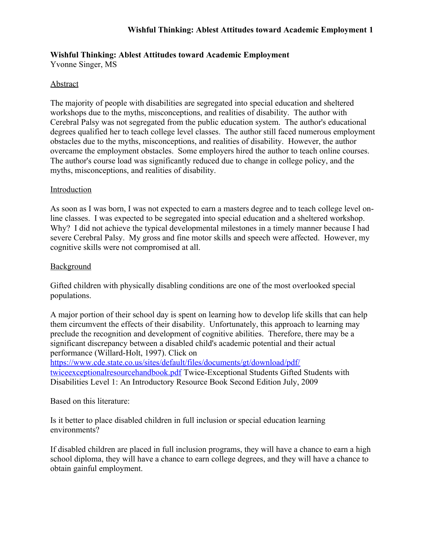Yvonne Singer, MS

# Abstract

The majority of people with disabilities are segregated into special education and sheltered workshops due to the myths, misconceptions, and realities of disability. The author with Cerebral Palsy was not segregated from the public education system. The author's educational degrees qualified her to teach college level classes. The author still faced numerous employment obstacles due to the myths, misconceptions, and realities of disability. However, the author overcame the employment obstacles. Some employers hired the author to teach online courses. The author's course load was significantly reduced due to change in college policy, and the myths, misconceptions, and realities of disability.

# Introduction

As soon as I was born, I was not expected to earn a masters degree and to teach college level online classes. I was expected to be segregated into special education and a sheltered workshop. Why? I did not achieve the typical developmental milestones in a timely manner because I had severe Cerebral Palsy. My gross and fine motor skills and speech were affected. However, my cognitive skills were not compromised at all.

# Background

Gifted children with physically disabling conditions are one of the most overlooked special populations.

A major portion of their school day is spent on learning how to develop life skills that can help them circumvent the effects of their disability. Unfortunately, this approach to learning may preclude the recognition and development of cognitive abilities. Therefore, there may be a significant discrepancy between a disabled child's academic potential and their actual performance (Willard-Holt, 1997). Click on

[https://www.cde.state.co.us/sites/default/files/documents/gt/download/pdf/](https://www.cde.state.co.us/sites/default/files/documents/gt/download/pdf/twiceexceptionalresourcehandbook.pdf) [twiceexceptionalresourcehandbook.pdf](https://www.cde.state.co.us/sites/default/files/documents/gt/download/pdf/twiceexceptionalresourcehandbook.pdf) Twice-Exceptional Students Gifted Students with Disabilities Level 1: An Introductory Resource Book Second Edition July, 2009

Based on this literature:

Is it better to place disabled children in full inclusion or special education learning environments?

If disabled children are placed in full inclusion programs, they will have a chance to earn a high school diploma, they will have a chance to earn college degrees, and they will have a chance to obtain gainful employment.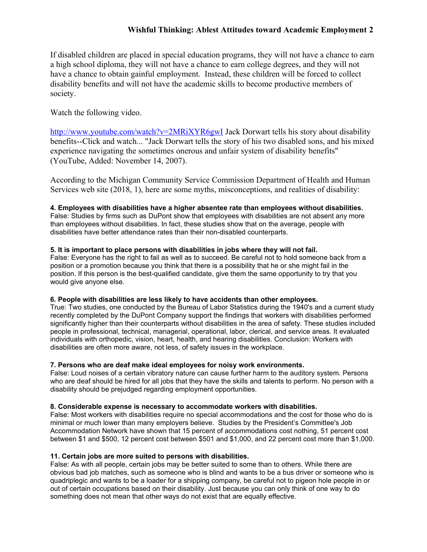If disabled children are placed in special education programs, they will not have a chance to earn a high school diploma, they will not have a chance to earn college degrees, and they will not have a chance to obtain gainful employment. Instead, these children will be forced to collect disability benefits and will not have the academic skills to become productive members of society.

## Watch the following video.

<http://www.youtube.com/watch?v=2MRiXYR6gwI> Jack Dorwart tells his story about disability benefits--Click and watch... "Jack Dorwart tells the story of his two disabled sons, and his mixed experience navigating the sometimes onerous and unfair system of disability benefits" (YouTube, Added: November 14, 2007).

According to the Michigan Community Service Commission Department of Health and Human Services web site (2018, 1), here are some myths, misconceptions, and realities of disability:

#### **4. Employees with disabilities have a higher absentee rate than employees without disabilities.**

False: Studies by firms such as DuPont show that employees with disabilities are not absent any more than employees without disabilities. In fact, these studies show that on the average, people with disabilities have better attendance rates than their non-disabled counterparts.

#### **5. It is important to place persons with disabilities in jobs where they will not fail.**

False: Everyone has the right to fail as well as to succeed. Be careful not to hold someone back from a position or a promotion because you think that there is a possibility that he or she might fail in the position. If this person is the best-qualified candidate, give them the same opportunity to try that you would give anyone else.

#### **6. People with disabilities are less likely to have accidents than other employees.**

True: Two studies, one conducted by the Bureau of Labor Statistics during the 1940's and a current study recently completed by the DuPont Company support the findings that workers with disabilities performed significantly higher than their counterparts without disabilities in the area of safety. These studies included people in professional, technical, managerial, operational, labor, clerical, and service areas. It evaluated individuals with orthopedic, vision, heart, health, and hearing disabilities. Conclusion: Workers with disabilities are often more aware, not less, of safety issues in the workplace.

### **7. Persons who are deaf make ideal employees for noisy work environments.**

False: Loud noises of a certain vibratory nature can cause further harm to the auditory system. Persons who are deaf should be hired for all jobs that they have the skills and talents to perform. No person with a disability should be prejudged regarding employment opportunities.

#### **8. Considerable expense is necessary to accommodate workers with disabilities.**

False: Most workers with disabilities require no special accommodations and the cost for those who do is minimal or much lower than many employers believe. Studies by the President's Committee's Job Accommodation Network have shown that 15 percent of accommodations cost nothing, 51 percent cost between \$1 and \$500, 12 percent cost between \$501 and \$1,000, and 22 percent cost more than \$1,000.

#### **11. Certain jobs are more suited to persons with disabilities.**

False: As with all people, certain jobs may be better suited to some than to others. While there are obvious bad job matches, such as someone who is blind and wants to be a bus driver or someone who is quadriplegic and wants to be a loader for a shipping company, be careful not to pigeon hole people in or out of certain occupations based on their disability. Just because you can only think of one way to do something does not mean that other ways do not exist that are equally effective.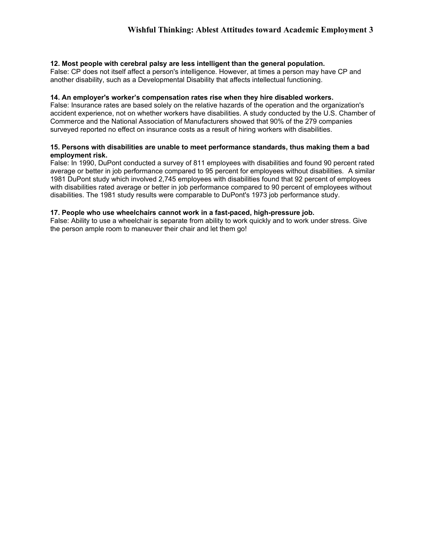#### **12. Most people with cerebral palsy are less intelligent than the general population.**

False: CP does not itself affect a person's intelligence. However, at times a person may have CP and another disability, such as a Developmental Disability that affects intellectual functioning.

#### **14. An employer's worker's compensation rates rise when they hire disabled workers.**

False: Insurance rates are based solely on the relative hazards of the operation and the organization's accident experience, not on whether workers have disabilities. A study conducted by the U.S. Chamber of Commerce and the National Association of Manufacturers showed that 90% of the 279 companies surveyed reported no effect on insurance costs as a result of hiring workers with disabilities.

#### **15. Persons with disabilities are unable to meet performance standards, thus making them a bad employment risk.**

False: In 1990, DuPont conducted a survey of 811 employees with disabilities and found 90 percent rated average or better in job performance compared to 95 percent for employees without disabilities. A similar 1981 DuPont study which involved 2,745 employees with disabilities found that 92 percent of employees with disabilities rated average or better in job performance compared to 90 percent of employees without disabilities. The 1981 study results were comparable to DuPont's 1973 job performance study.

#### **17. People who use wheelchairs cannot work in a fast-paced, high-pressure job.**

False: Ability to use a wheelchair is separate from ability to work quickly and to work under stress. Give the person ample room to maneuver their chair and let them go!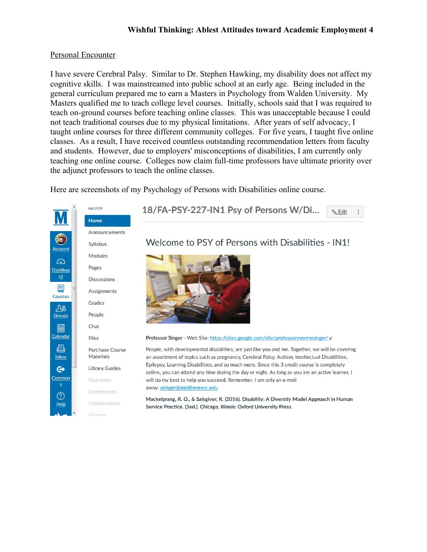## Personal Encounter

I have severe Cerebral Palsy. Similar to Dr. Stephen Hawking, my disability does not affect my cognitive skills. I was mainstreamed into public school at an early age. Being included in the general curriculum prepared me to earn a Masters in Psychology from Walden University. My Masters qualified me to teach college level courses. Initially, schools said that I was required to teach on-ground courses before teaching online classes. This was unacceptable because I could not teach traditional courses due to my physical limitations. After years of self advocacy, I taught online courses for three different community colleges. For five years, I taught five online classes. As a result, I have received countless outstanding recommendation letters from faculty and students. However, due to employers' misconceptions of disabilities, I am currently only teaching one online course. Colleges now claim full-time professors have ultimate priority over the adjunct professors to teach the online classes.

Here are screenshots of my Psychology of Persons with Disabilities online course.

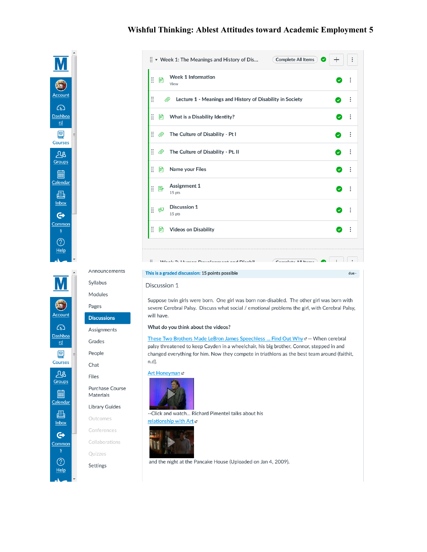

Announcements

Syllabus

Modules

**Discussions** 

Assignments

Pages

Grades

People

Chat

Files

Materials

Outcomes

Quizzes

Settings

Conferences

Collaborations

Purchase Course

**Library Guides** 

|   |    | $\frac{11}{11}$ $\bullet$ Week 1: The Meanings and History of Dis<br><b>Complete All Items</b><br>× | ┭                       | $\vdots$ |  |
|---|----|-----------------------------------------------------------------------------------------------------|-------------------------|----------|--|
| Ħ | 圕  | <b>Week 1 Information</b><br>View                                                                   | $\checkmark$            | $\vdots$ |  |
| Ħ |    | Lecture 1 - Meanings and History of Disability in Society<br>℗                                      | $\checkmark$            | $\vdots$ |  |
| Ħ | 圕  | What is a Disability Identity?                                                                      | $\checkmark$            | $\vdots$ |  |
| H | ◎  | The Culture of Disability - Pt I                                                                    |                         |          |  |
| Ħ | ℗  | The Culture of Disability - Pt. II                                                                  | $\overline{\mathsf{v}}$ | $\vdots$ |  |
| Ħ | 圕  | Name your Files                                                                                     | $\checkmark$            | ÷        |  |
| Ħ | B  | <b>Assignment 1</b><br>15 pts                                                                       | Ø                       | $\vdots$ |  |
| Ħ | ∉⊽ | <b>Discussion 1</b><br>15 pts                                                                       | Ø                       | ÷        |  |
| Ħ | B  | <b>Videos on Disability</b>                                                                         | $\bullet$               | ÷        |  |

 $\circledS$ Help

#### This is a graded discussion: 15 points possible

**C.** Moste 2. Human Douglanmant and Disabil.

#### Discussion 1

Suppose twin girls were born. One girl was born non-disabled. The other girl was born with severe Cerebral Palsy. Discuss what social / emotional problems the girl, with Cerebral Palsy, will have.

 $Gamma$   $\left|$   $\right|$   $\left|$   $\right|$   $\left|$   $\right|$   $\left|$   $\right|$   $\left|$   $\right|$   $\left|$   $\right|$   $\left|$   $\right|$   $\left|$   $\right|$   $\left|$   $\right|$   $\left|$   $\right|$   $\left|$   $\right|$   $\left|$   $\right|$   $\left|$   $\right|$   $\left|$   $\right|$   $\left|$   $\right|$   $\left|$   $\right|$   $\left|$   $\right|$   $\left|$   $\right|$ 

due -

#### What do you think about the videos?

These Two Brothers Made LeBron James Speechless ... Find Out Why e -- When cerebral palsy threatened to keep Cayden in a wheelchair, his big brother, Connor, stepped in and changed everything for him. Now they compete in triathlons as the best team around (faithit, n.d).

#### Art Honeyman &



-- Click and watch... Richard Pimentel talks about his relationship with Art e



and the night at the Pancake House (Uploaded on Jan 4, 2009).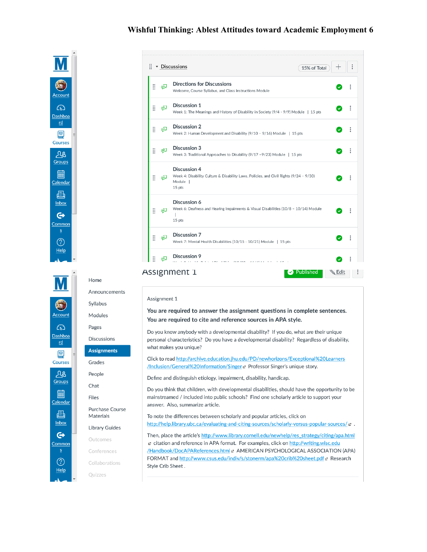Accoun ෬ Dashboa  $rd$ </u> 回 Courses  $AB$ Groups 翩 Calendar 屆 Inbox  $\mathbf{\Theta}$ Common  $\circledS$ Help



# $\left($ Account ෬ Dashboa  $rd$ 囯 Courses  $28$ Groups 匾 Calendar 屆 Inbox  $\mathbf{\Theta}$ Common ⑦ Help

| Announcements                       |  |  |  |  |  |
|-------------------------------------|--|--|--|--|--|
| Syllabus                            |  |  |  |  |  |
| Modules                             |  |  |  |  |  |
| Pages                               |  |  |  |  |  |
| <b>Discussions</b>                  |  |  |  |  |  |
| <b>Assignments</b>                  |  |  |  |  |  |
| Grades                              |  |  |  |  |  |
| People                              |  |  |  |  |  |
| Chat                                |  |  |  |  |  |
| <b>Files</b>                        |  |  |  |  |  |
| <b>Purchase Course</b><br>Materials |  |  |  |  |  |
| <b>Library Guides</b>               |  |  |  |  |  |
| Outcomes                            |  |  |  |  |  |
| Conferences                         |  |  |  |  |  |
| Collaborations                      |  |  |  |  |  |
| Quizzes                             |  |  |  |  |  |
|                                     |  |  |  |  |  |
|                                     |  |  |  |  |  |

Home

#### Assignment 1

You are required to answer the assignment questions in complete sentences. You are required to cite and reference sources in APA style.

Do you know anybody with a developmental disability? If you do, what are their unique personal characteristics? Do you have a developmental disability? Regardless of disability, what makes you unique?

Click to read http://archive.education.jhu.edu/PD/newhorizons/Exceptional%20Learners /Inclusion/General%20Information/Singer & Professor Singer's unique story.

Define and distinguish etiology, impairment, disability, handicap.

Do you think that children, with developmental disabilities, should have the opportunity to be mainstreamed / included into public schools? Find one scholarly article to support your answer. Also, summarize article.

To note the differences between scholarly and popular articles, click on http://help.library.ubc.ca/evaluating-and-citing-sources/scholarly-versus-popular-sources/ e .

Then, place the article's http://www.library.cornell.edu/newhelp/res\_strategy/citing/apa.html citation and reference in APA format. For examples, click on http://writing.wisc.edu /Handbook/DocAPAReferences.html e AMERICAN PSYCHOLOGICAL ASSOCIATION (APA) FORMAT and http://www.csus.edu/indiv/s/stonerm/apa%20crib%20sheet.pdf & Research Style Crib Sheet.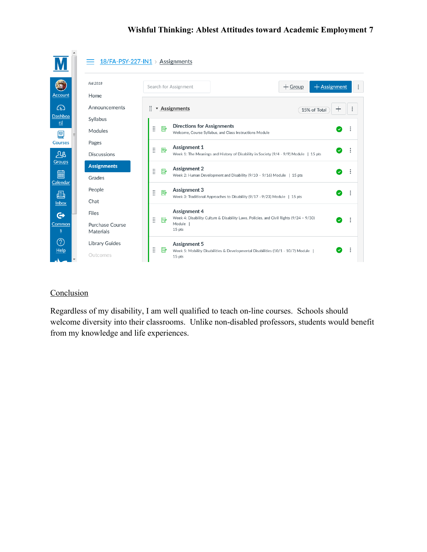|                              |                                     | $18$ /FA-PSY-227-IN1 > Assignments                                                                                                             |
|------------------------------|-------------------------------------|------------------------------------------------------------------------------------------------------------------------------------------------|
| <b>Account</b>               | Fall 2018<br>Home                   | $+$ Assignment<br>$+$ Group<br>Search for Assignment<br>÷                                                                                      |
| $\bigcirc$<br><b>Dashboa</b> | Announcements                       | $\vdots$ <b>Assignments</b><br>$\vdots$<br>$^+$<br>15% of Total                                                                                |
| rd<br>冒                      | Syllabus<br>Modules                 | <b>Directions for Assignments</b><br>III<br>國<br>Welcome, Course Syllabus, and Class Instructions Module                                       |
| <b>Courses</b><br>$\Delta$ 8 | Pages<br><b>Discussions</b>         | Assignment 1<br>Ħ<br>國<br>V<br>Week 1: The Meanings and History of Disability in Society (9/4 - 9/9) Module   15 pts                           |
| <b>Groups</b><br>匾           | <b>Assignments</b><br>Grades        | <b>Assignment 2</b><br>Ħ<br>國<br>$\checkmark$<br>Week 2: Human Development and Disability (9/10 - 9/16) Module   15 pts                        |
| Calendar<br>画                | People                              | Assignment 3<br>m<br>國<br>$\bullet$<br>Week 3: Traditional Approaches to Disability (9/17 -9/23) Module   15 pts                               |
| Inbox<br>$\mathbf{\Theta}$   | Chat<br><b>Files</b>                | Assignment 4<br>Week 4: Disability Culture & Disability Laws, Policies, and Civil Rights (9/24 - 9/30)<br>Ħ<br>垦<br>$\bullet$                  |
| Common<br>$\overline{S}$     | <b>Purchase Course</b><br>Materials | Module  <br>15 pts                                                                                                                             |
| ි<br><b>Help</b>             | <b>Library Guides</b><br>Outcomes   | <b>Assignment 5</b><br>Ħ<br>垦<br>$\checkmark$<br>Week 5: Mobility Disabilities & Developmental Disabilities (10/1 - 10/7) Module  <br>$15$ pts |

# **Conclusion**

Regardless of my disability, I am well qualified to teach on-line courses. Schools should welcome diversity into their classrooms. Unlike non-disabled professors, students would benefit from my knowledge and life experiences.